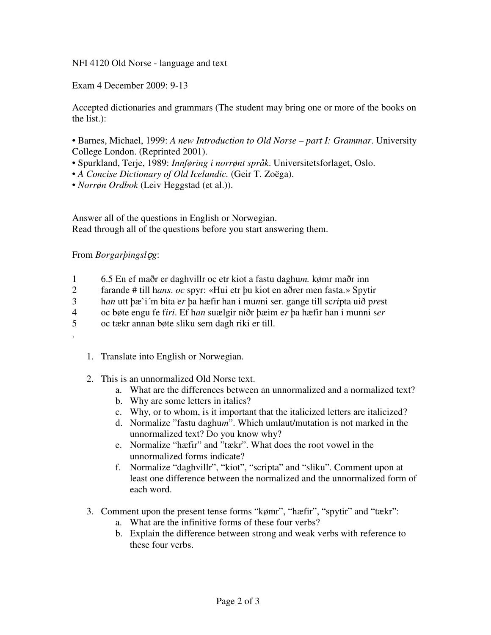NFI 4120 Old Norse - language and text

Exam 4 December 2009: 9-13

Accepted dictionaries and grammars (The student may bring one or more of the books on the list.):

- Barnes, Michael, 1999: *A new Introduction to Old Norse – part I: Grammar*. University College London. (Reprinted 2001).
- Spurkland, Terje, 1989: *Innføring i norrønt språk*. Universitetsforlaget, Oslo.
- *A Concise Dictionary of Old Icelandic.* (Geir T. Zoëga).
- *Norrøn Ordbok* (Leiv Heggstad (et al.)).

Answer all of the questions in English or Norwegian. Read through all of the questions before you start answering them.

## From *Borgarþingslg*:

.

- 1 6.5 En ef maðr er daghvillr oc etr kiot a fastu daghu*m.* kømr maðr inn
- 2 farande # till h*ans*. *oc* spyr: «Hui etr þu kiot en aðrer men fasta.» Spytir
- 3 h*an* utt þæ`i´m bita e*r* þa hæfir han i mu*n*ni ser. gange till sc*ri*pta uið p*re*st
- 4 oc bøte engu fe f*iri*. Ef h*an* suælgir niðr þæim e*r* þa hæfir han i munni s*er*
- 5 oc tækr annan bøte sliku sem dagh riki er till.
	- 1. Translate into English or Norwegian.
	- 2. This is an unnormalized Old Norse text.
		- a. What are the differences between an unnormalized and a normalized text?
		- b. Why are some letters in italics?
		- c. Why, or to whom, is it important that the italicized letters are italicized?
		- d. Normalize "fastu daghu*m*". Which umlaut/mutation is not marked in the unnormalized text? Do you know why?
		- e. Normalize "hæfir" and "tækr". What does the root vowel in the unnormalized forms indicate?
		- f. Normalize "daghvillr", "kiot", "scripta" and "sliku". Comment upon at least one difference between the normalized and the unnormalized form of each word.
	- 3. Comment upon the present tense forms "kømr", "hæfir", "spytir" and "tækr":
		- a. What are the infinitive forms of these four verbs?
		- b. Explain the difference between strong and weak verbs with reference to these four verbs.